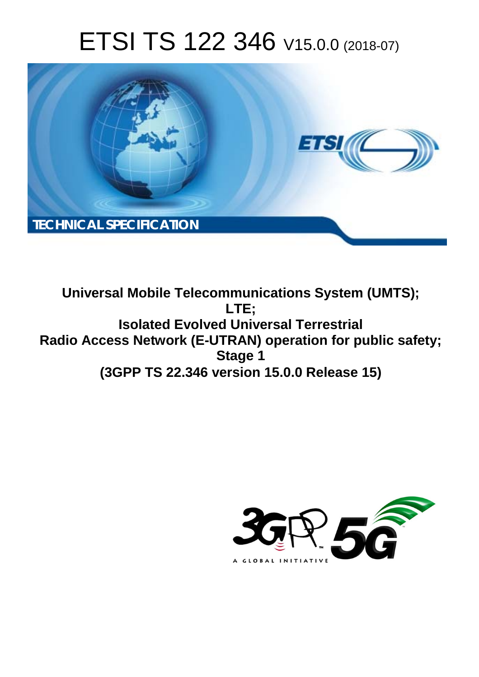# ETSI TS 122 346 V15.0.0 (2018-07)



**Universal Mobile Telecommunications System (UMTS); LTE; Isolated Evolved Universal Terrestrial Radio Access Network (E-UTRAN) operation for public safety; Stage 1 (3GPP TS 22.346 version 15.0.0 Release 15)** 

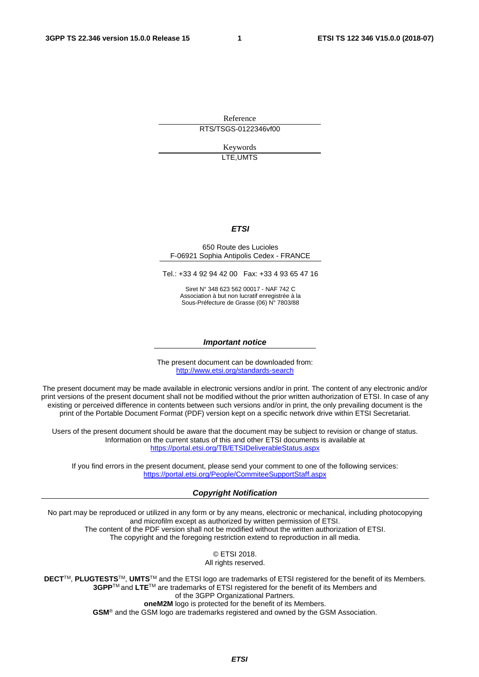Reference RTS/TSGS-0122346vf00

> Keywords LTE,UMTS

#### *ETSI*

#### 650 Route des Lucioles F-06921 Sophia Antipolis Cedex - FRANCE

Tel.: +33 4 92 94 42 00 Fax: +33 4 93 65 47 16

Siret N° 348 623 562 00017 - NAF 742 C Association à but non lucratif enregistrée à la Sous-Préfecture de Grasse (06) N° 7803/88

#### *Important notice*

The present document can be downloaded from: <http://www.etsi.org/standards-search>

The present document may be made available in electronic versions and/or in print. The content of any electronic and/or print versions of the present document shall not be modified without the prior written authorization of ETSI. In case of any existing or perceived difference in contents between such versions and/or in print, the only prevailing document is the print of the Portable Document Format (PDF) version kept on a specific network drive within ETSI Secretariat.

Users of the present document should be aware that the document may be subject to revision or change of status. Information on the current status of this and other ETSI documents is available at <https://portal.etsi.org/TB/ETSIDeliverableStatus.aspx>

If you find errors in the present document, please send your comment to one of the following services: <https://portal.etsi.org/People/CommiteeSupportStaff.aspx>

#### *Copyright Notification*

No part may be reproduced or utilized in any form or by any means, electronic or mechanical, including photocopying and microfilm except as authorized by written permission of ETSI. The content of the PDF version shall not be modified without the written authorization of ETSI. The copyright and the foregoing restriction extend to reproduction in all media.

> © ETSI 2018. All rights reserved.

**DECT**TM, **PLUGTESTS**TM, **UMTS**TM and the ETSI logo are trademarks of ETSI registered for the benefit of its Members. **3GPP**TM and **LTE**TM are trademarks of ETSI registered for the benefit of its Members and of the 3GPP Organizational Partners. **oneM2M** logo is protected for the benefit of its Members.

**GSM**® and the GSM logo are trademarks registered and owned by the GSM Association.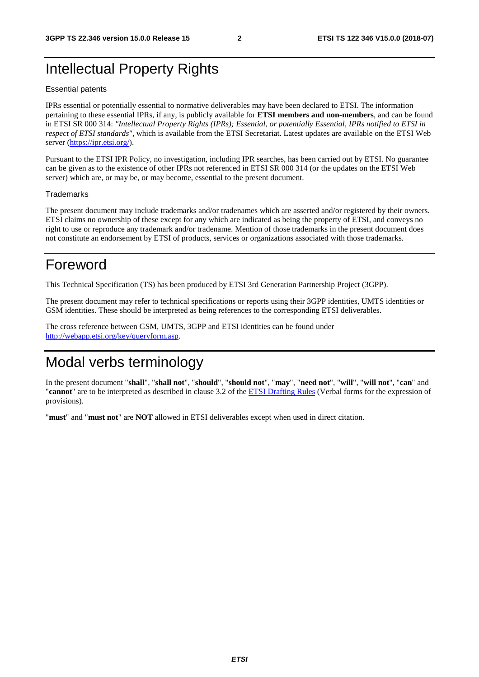### Intellectual Property Rights

#### Essential patents

IPRs essential or potentially essential to normative deliverables may have been declared to ETSI. The information pertaining to these essential IPRs, if any, is publicly available for **ETSI members and non-members**, and can be found in ETSI SR 000 314: *"Intellectual Property Rights (IPRs); Essential, or potentially Essential, IPRs notified to ETSI in respect of ETSI standards"*, which is available from the ETSI Secretariat. Latest updates are available on the ETSI Web server ([https://ipr.etsi.org/\)](https://ipr.etsi.org/).

Pursuant to the ETSI IPR Policy, no investigation, including IPR searches, has been carried out by ETSI. No guarantee can be given as to the existence of other IPRs not referenced in ETSI SR 000 314 (or the updates on the ETSI Web server) which are, or may be, or may become, essential to the present document.

#### **Trademarks**

The present document may include trademarks and/or tradenames which are asserted and/or registered by their owners. ETSI claims no ownership of these except for any which are indicated as being the property of ETSI, and conveys no right to use or reproduce any trademark and/or tradename. Mention of those trademarks in the present document does not constitute an endorsement by ETSI of products, services or organizations associated with those trademarks.

### Foreword

This Technical Specification (TS) has been produced by ETSI 3rd Generation Partnership Project (3GPP).

The present document may refer to technical specifications or reports using their 3GPP identities, UMTS identities or GSM identities. These should be interpreted as being references to the corresponding ETSI deliverables.

The cross reference between GSM, UMTS, 3GPP and ETSI identities can be found under [http://webapp.etsi.org/key/queryform.asp.](http://webapp.etsi.org/key/queryform.asp)

## Modal verbs terminology

In the present document "**shall**", "**shall not**", "**should**", "**should not**", "**may**", "**need not**", "**will**", "**will not**", "**can**" and "**cannot**" are to be interpreted as described in clause 3.2 of the [ETSI Drafting Rules](https://portal.etsi.org/Services/editHelp!/Howtostart/ETSIDraftingRules.aspx) (Verbal forms for the expression of provisions).

"**must**" and "**must not**" are **NOT** allowed in ETSI deliverables except when used in direct citation.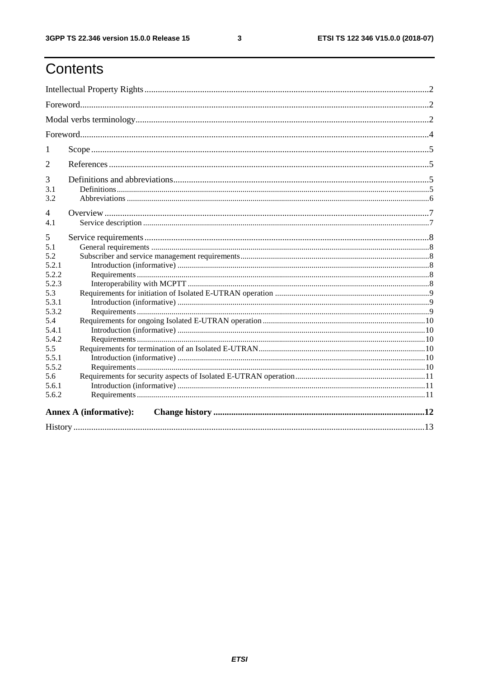## Contents

| 1                                                                                                                                     |                               |  |  |  |  |  |  |
|---------------------------------------------------------------------------------------------------------------------------------------|-------------------------------|--|--|--|--|--|--|
| $\overline{2}$                                                                                                                        |                               |  |  |  |  |  |  |
| 3<br>3.1<br>3.2                                                                                                                       |                               |  |  |  |  |  |  |
| 4<br>4.1                                                                                                                              |                               |  |  |  |  |  |  |
| 5<br>5.1<br>5.2<br>5.2.1<br>5.2.2<br>5.2.3<br>5.3<br>5.3.1<br>5.3.2<br>5.4<br>5.4.1<br>5.4.2<br>5.5<br>5.5.1<br>5.5.2<br>5.6<br>5.6.1 |                               |  |  |  |  |  |  |
| 5.6.2                                                                                                                                 |                               |  |  |  |  |  |  |
|                                                                                                                                       | <b>Annex A (informative):</b> |  |  |  |  |  |  |
|                                                                                                                                       |                               |  |  |  |  |  |  |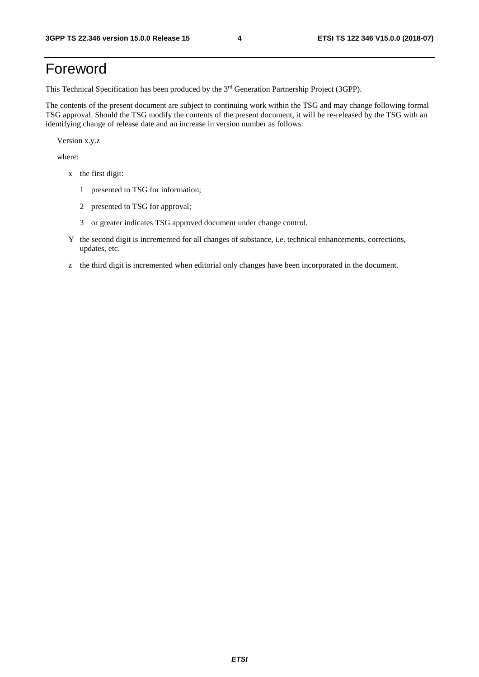## Foreword

This Technical Specification has been produced by the 3rd Generation Partnership Project (3GPP).

The contents of the present document are subject to continuing work within the TSG and may change following formal TSG approval. Should the TSG modify the contents of the present document, it will be re-released by the TSG with an identifying change of release date and an increase in version number as follows:

Version x.y.z

where:

- x the first digit:
	- 1 presented to TSG for information;
	- 2 presented to TSG for approval;
	- 3 or greater indicates TSG approved document under change control.
- Y the second digit is incremented for all changes of substance, i.e. technical enhancements, corrections, updates, etc.
- z the third digit is incremented when editorial only changes have been incorporated in the document.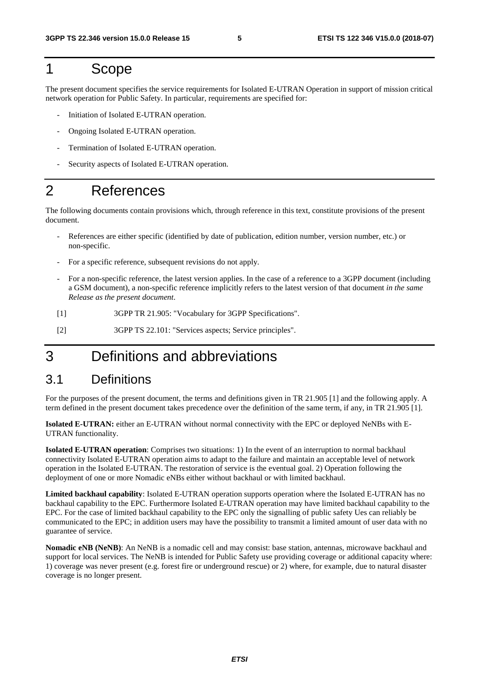### 1 Scope

The present document specifies the service requirements for Isolated E-UTRAN Operation in support of mission critical network operation for Public Safety. In particular, requirements are specified for:

- Initiation of Isolated E-UTRAN operation.
- Ongoing Isolated E-UTRAN operation.
- Termination of Isolated E-UTRAN operation.
- Security aspects of Isolated E-UTRAN operation.

### 2 References

The following documents contain provisions which, through reference in this text, constitute provisions of the present document.

- References are either specific (identified by date of publication, edition number, version number, etc.) or non-specific.
- For a specific reference, subsequent revisions do not apply.
- For a non-specific reference, the latest version applies. In the case of a reference to a 3GPP document (including a GSM document), a non-specific reference implicitly refers to the latest version of that document *in the same Release as the present document*.
- [1] 3GPP TR 21.905: "Vocabulary for 3GPP Specifications".
- [2] 3GPP TS 22.101: "Services aspects; Service principles".

## 3 Definitions and abbreviations

### 3.1 Definitions

For the purposes of the present document, the terms and definitions given in TR 21.905 [1] and the following apply. A term defined in the present document takes precedence over the definition of the same term, if any, in TR 21.905 [1].

**Isolated E-UTRAN:** either an E-UTRAN without normal connectivity with the EPC or deployed NeNBs with E-UTRAN functionality.

**Isolated E-UTRAN operation**: Comprises two situations: 1) In the event of an interruption to normal backhaul connectivity Isolated E-UTRAN operation aims to adapt to the failure and maintain an acceptable level of network operation in the Isolated E-UTRAN. The restoration of service is the eventual goal. 2) Operation following the deployment of one or more Nomadic eNBs either without backhaul or with limited backhaul.

**Limited backhaul capability**: Isolated E-UTRAN operation supports operation where the Isolated E-UTRAN has no backhaul capability to the EPC. Furthermore Isolated E-UTRAN operation may have limited backhaul capability to the EPC. For the case of limited backhaul capability to the EPC only the signalling of public safety Ues can reliably be communicated to the EPC; in addition users may have the possibility to transmit a limited amount of user data with no guarantee of service.

**Nomadic eNB (NeNB)**: An NeNB is a nomadic cell and may consist: base station, antennas, microwave backhaul and support for local services. The NeNB is intended for Public Safety use providing coverage or additional capacity where: 1) coverage was never present (e.g. forest fire or underground rescue) or 2) where, for example, due to natural disaster coverage is no longer present.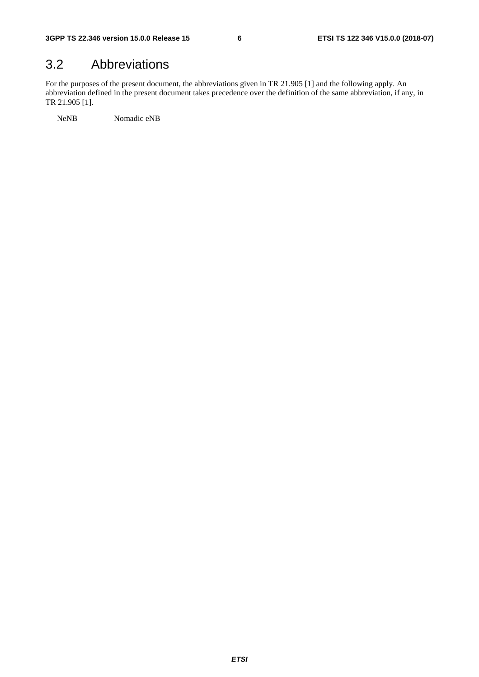### 3.2 Abbreviations

For the purposes of the present document, the abbreviations given in TR 21.905 [1] and the following apply. An abbreviation defined in the present document takes precedence over the definition of the same abbreviation, if any, in TR 21.905 [1].

NeNB Nomadic eNB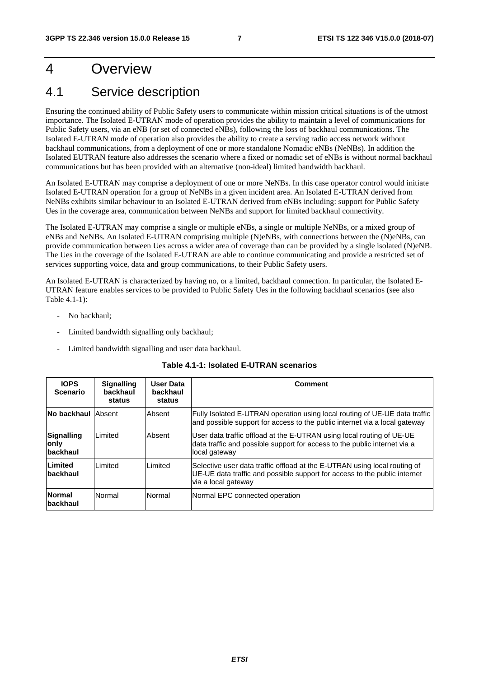## 4 Overview

## 4.1 Service description

Ensuring the continued ability of Public Safety users to communicate within mission critical situations is of the utmost importance. The Isolated E-UTRAN mode of operation provides the ability to maintain a level of communications for Public Safety users, via an eNB (or set of connected eNBs), following the loss of backhaul communications. The Isolated E-UTRAN mode of operation also provides the ability to create a serving radio access network without backhaul communications, from a deployment of one or more standalone Nomadic eNBs (NeNBs). In addition the Isolated EUTRAN feature also addresses the scenario where a fixed or nomadic set of eNBs is without normal backhaul communications but has been provided with an alternative (non-ideal) limited bandwidth backhaul.

An Isolated E-UTRAN may comprise a deployment of one or more NeNBs. In this case operator control would initiate Isolated E-UTRAN operation for a group of NeNBs in a given incident area. An Isolated E-UTRAN derived from NeNBs exhibits similar behaviour to an Isolated E-UTRAN derived from eNBs including: support for Public Safety Ues in the coverage area, communication between NeNBs and support for limited backhaul connectivity.

The Isolated E-UTRAN may comprise a single or multiple eNBs, a single or multiple NeNBs, or a mixed group of eNBs and NeNBs. An Isolated E-UTRAN comprising multiple (N)eNBs, with connections between the (N)eNBs, can provide communication between Ues across a wider area of coverage than can be provided by a single isolated (N)eNB. The Ues in the coverage of the Isolated E-UTRAN are able to continue communicating and provide a restricted set of services supporting voice, data and group communications, to their Public Safety users.

An Isolated E-UTRAN is characterized by having no, or a limited, backhaul connection. In particular, the Isolated E-UTRAN feature enables services to be provided to Public Safety Ues in the following backhaul scenarios (see also Table 4.1-1):

- No backhaul:
- Limited bandwidth signalling only backhaul;
- Limited bandwidth signalling and user data backhaul.

| <b>IOPS</b><br><b>Scenario</b>         | <b>Signalling</b><br>backhaul<br>status | User Data<br>backhaul<br>status | Comment                                                                                                                                                                       |
|----------------------------------------|-----------------------------------------|---------------------------------|-------------------------------------------------------------------------------------------------------------------------------------------------------------------------------|
| No backhaul lAbsent                    |                                         | Absent                          | Fully Isolated E-UTRAN operation using local routing of UE-UE data traffic<br>and possible support for access to the public internet via a local gateway                      |
| <b>Signalling</b><br>only<br>lbackhaul | Limited                                 | Absent                          | User data traffic offload at the E-UTRAN using local routing of UE-UE<br>data traffic and possible support for access to the public internet via a<br>local gateway           |
| Limited<br>backhaul                    | <b>Limited</b>                          | Limited                         | Selective user data traffic offload at the E-UTRAN using local routing of<br>UE-UE data traffic and possible support for access to the public internet<br>via a local gateway |
| <b>Normal</b><br>backhaul              | Normal                                  | Normal                          | Normal EPC connected operation                                                                                                                                                |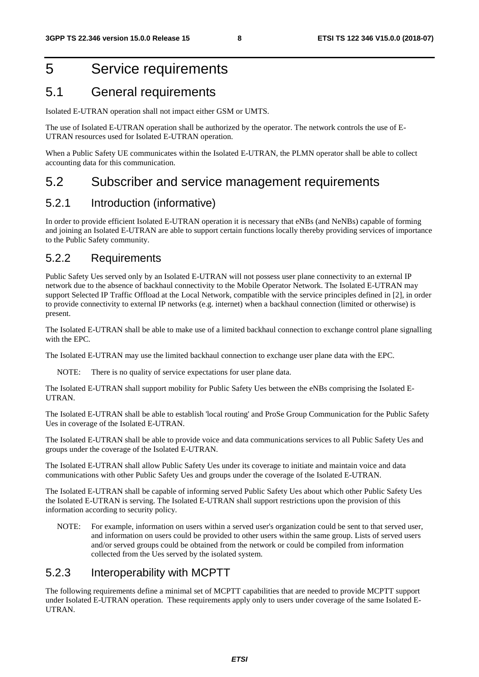### 5 Service requirements

### 5.1 General requirements

Isolated E-UTRAN operation shall not impact either GSM or UMTS.

The use of Isolated E-UTRAN operation shall be authorized by the operator. The network controls the use of E-UTRAN resources used for Isolated E-UTRAN operation.

When a Public Safety UE communicates within the Isolated E-UTRAN, the PLMN operator shall be able to collect accounting data for this communication.

#### 5.2 Subscriber and service management requirements

#### 5.2.1 Introduction (informative)

In order to provide efficient Isolated E-UTRAN operation it is necessary that eNBs (and NeNBs) capable of forming and joining an Isolated E-UTRAN are able to support certain functions locally thereby providing services of importance to the Public Safety community.

#### 5.2.2 Requirements

Public Safety Ues served only by an Isolated E-UTRAN will not possess user plane connectivity to an external IP network due to the absence of backhaul connectivity to the Mobile Operator Network. The Isolated E-UTRAN may support Selected IP Traffic Offload at the Local Network, compatible with the service principles defined in [2], in order to provide connectivity to external IP networks (e.g. internet) when a backhaul connection (limited or otherwise) is present.

The Isolated E-UTRAN shall be able to make use of a limited backhaul connection to exchange control plane signalling with the EPC.

The Isolated E-UTRAN may use the limited backhaul connection to exchange user plane data with the EPC.

NOTE: There is no quality of service expectations for user plane data.

The Isolated E-UTRAN shall support mobility for Public Safety Ues between the eNBs comprising the Isolated E-UTRAN.

The Isolated E-UTRAN shall be able to establish 'local routing' and ProSe Group Communication for the Public Safety Ues in coverage of the Isolated E-UTRAN.

The Isolated E-UTRAN shall be able to provide voice and data communications services to all Public Safety Ues and groups under the coverage of the Isolated E-UTRAN.

The Isolated E-UTRAN shall allow Public Safety Ues under its coverage to initiate and maintain voice and data communications with other Public Safety Ues and groups under the coverage of the Isolated E-UTRAN.

The Isolated E-UTRAN shall be capable of informing served Public Safety Ues about which other Public Safety Ues the Isolated E-UTRAN is serving. The Isolated E-UTRAN shall support restrictions upon the provision of this information according to security policy.

NOTE: For example, information on users within a served user's organization could be sent to that served user, and information on users could be provided to other users within the same group. Lists of served users and/or served groups could be obtained from the network or could be compiled from information collected from the Ues served by the isolated system.

#### 5.2.3 Interoperability with MCPTT

The following requirements define a minimal set of MCPTT capabilities that are needed to provide MCPTT support under Isolated E-UTRAN operation. These requirements apply only to users under coverage of the same Isolated E-UTRAN.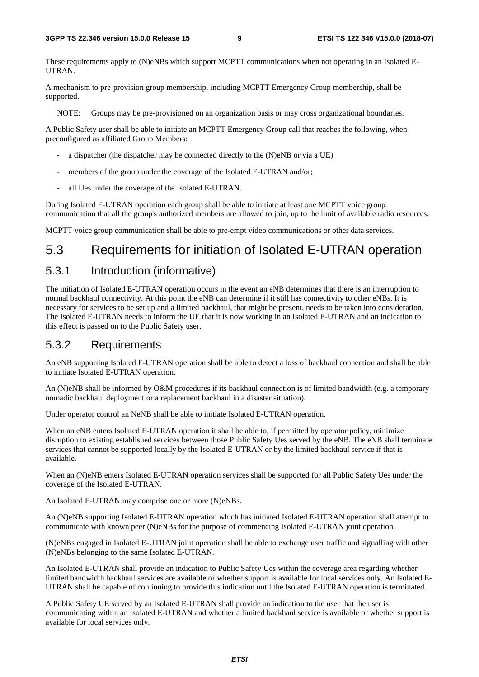These requirements apply to (N)eNBs which support MCPTT communications when not operating in an Isolated E-UTRAN.

A mechanism to pre-provision group membership, including MCPTT Emergency Group membership, shall be supported.

NOTE: Groups may be pre-provisioned on an organization basis or may cross organizational boundaries.

A Public Safety user shall be able to initiate an MCPTT Emergency Group call that reaches the following, when preconfigured as affiliated Group Members:

- a dispatcher (the dispatcher may be connected directly to the (N)eNB or via a UE)
- members of the group under the coverage of the Isolated E-UTRAN and/or;
- all Ues under the coverage of the Isolated E-UTRAN.

During Isolated E-UTRAN operation each group shall be able to initiate at least one MCPTT voice group communication that all the group's authorized members are allowed to join, up to the limit of available radio resources.

MCPTT voice group communication shall be able to pre-empt video communications or other data services.

### 5.3 Requirements for initiation of Isolated E-UTRAN operation

#### 5.3.1 Introduction (informative)

The initiation of Isolated E-UTRAN operation occurs in the event an eNB determines that there is an interruption to normal backhaul connectivity. At this point the eNB can determine if it still has connectivity to other eNBs. It is necessary for services to be set up and a limited backhaul, that might be present, needs to be taken into consideration. The Isolated E-UTRAN needs to inform the UE that it is now working in an Isolated E-UTRAN and an indication to this effect is passed on to the Public Safety user.

#### 5.3.2 Requirements

An eNB supporting Isolated E-UTRAN operation shall be able to detect a loss of backhaul connection and shall be able to initiate Isolated E-UTRAN operation.

An (N)eNB shall be informed by O&M procedures if its backhaul connection is of limited bandwidth (e.g. a temporary nomadic backhaul deployment or a replacement backhaul in a disaster situation).

Under operator control an NeNB shall be able to initiate Isolated E-UTRAN operation.

When an eNB enters Isolated E-UTRAN operation it shall be able to, if permitted by operator policy, minimize disruption to existing established services between those Public Safety Ues served by the eNB. The eNB shall terminate services that cannot be supported locally by the Isolated E-UTRAN or by the limited backhaul service if that is available.

When an (N)eNB enters Isolated E-UTRAN operation services shall be supported for all Public Safety Ues under the coverage of the Isolated E-UTRAN.

An Isolated E-UTRAN may comprise one or more (N)eNBs.

An (N)eNB supporting Isolated E-UTRAN operation which has initiated Isolated E-UTRAN operation shall attempt to communicate with known peer (N)eNBs for the purpose of commencing Isolated E-UTRAN joint operation.

(N)eNBs engaged in Isolated E-UTRAN joint operation shall be able to exchange user traffic and signalling with other (N)eNBs belonging to the same Isolated E-UTRAN.

An Isolated E-UTRAN shall provide an indication to Public Safety Ues within the coverage area regarding whether limited bandwidth backhaul services are available or whether support is available for local services only. An Isolated E-UTRAN shall be capable of continuing to provide this indication until the Isolated E-UTRAN operation is terminated.

A Public Safety UE served by an Isolated E-UTRAN shall provide an indication to the user that the user is communicating within an Isolated E-UTRAN and whether a limited backhaul service is available or whether support is available for local services only.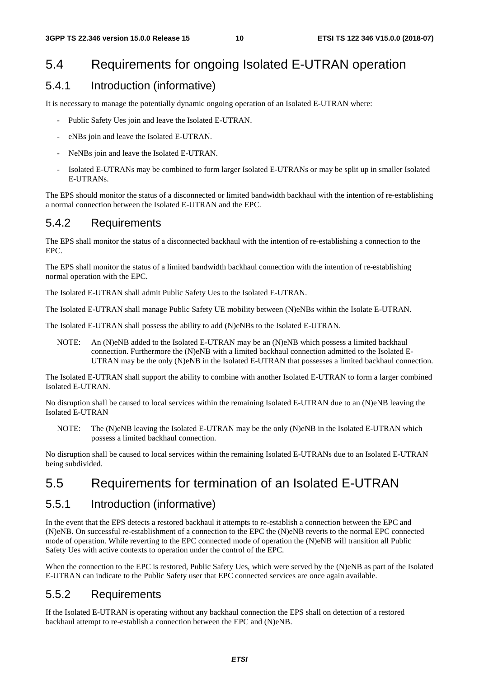### 5.4 Requirements for ongoing Isolated E-UTRAN operation

#### 5.4.1 Introduction (informative)

It is necessary to manage the potentially dynamic ongoing operation of an Isolated E-UTRAN where:

- Public Safety Ues join and leave the Isolated E-UTRAN.
- eNBs join and leave the Isolated E-UTRAN.
- NeNBs join and leave the Isolated E-UTRAN.
- Isolated E-UTRANs may be combined to form larger Isolated E-UTRANs or may be split up in smaller Isolated E-UTRANs.

The EPS should monitor the status of a disconnected or limited bandwidth backhaul with the intention of re-establishing a normal connection between the Isolated E-UTRAN and the EPC.

#### 5.4.2 Requirements

The EPS shall monitor the status of a disconnected backhaul with the intention of re-establishing a connection to the EPC.

The EPS shall monitor the status of a limited bandwidth backhaul connection with the intention of re-establishing normal operation with the EPC.

The Isolated E-UTRAN shall admit Public Safety Ues to the Isolated E-UTRAN.

The Isolated E-UTRAN shall manage Public Safety UE mobility between (N)eNBs within the Isolate E-UTRAN.

The Isolated E-UTRAN shall possess the ability to add (N)eNBs to the Isolated E-UTRAN.

NOTE: An (N)eNB added to the Isolated E-UTRAN may be an (N)eNB which possess a limited backhaul connection. Furthermore the (N)eNB with a limited backhaul connection admitted to the Isolated E-UTRAN may be the only (N)eNB in the Isolated E-UTRAN that possesses a limited backhaul connection.

The Isolated E-UTRAN shall support the ability to combine with another Isolated E-UTRAN to form a larger combined Isolated E-UTRAN.

No disruption shall be caused to local services within the remaining Isolated E-UTRAN due to an (N)eNB leaving the Isolated E-UTRAN

NOTE: The (N)eNB leaving the Isolated E-UTRAN may be the only (N)eNB in the Isolated E-UTRAN which possess a limited backhaul connection.

No disruption shall be caused to local services within the remaining Isolated E-UTRANs due to an Isolated E-UTRAN being subdivided.

### 5.5 Requirements for termination of an Isolated E-UTRAN

#### 5.5.1 Introduction (informative)

In the event that the EPS detects a restored backhaul it attempts to re-establish a connection between the EPC and (N)eNB. On successful re-establishment of a connection to the EPC the (N)eNB reverts to the normal EPC connected mode of operation. While reverting to the EPC connected mode of operation the (N)eNB will transition all Public Safety Ues with active contexts to operation under the control of the EPC.

When the connection to the EPC is restored, Public Safety Ues, which were served by the (N)eNB as part of the Isolated E-UTRAN can indicate to the Public Safety user that EPC connected services are once again available.

#### 5.5.2 Requirements

If the Isolated E-UTRAN is operating without any backhaul connection the EPS shall on detection of a restored backhaul attempt to re-establish a connection between the EPC and (N)eNB.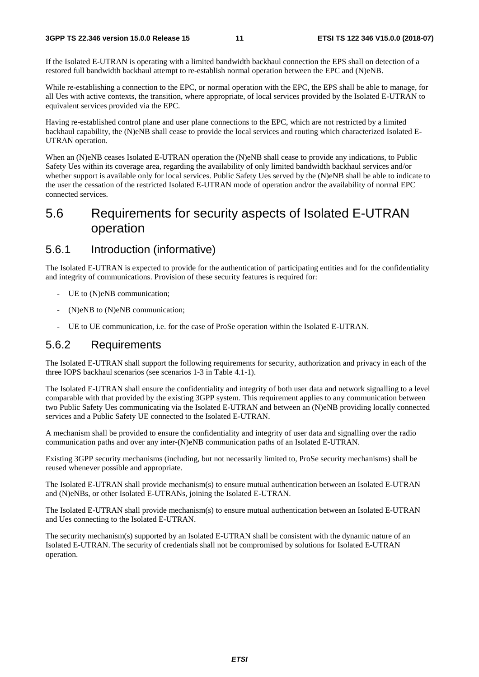If the Isolated E-UTRAN is operating with a limited bandwidth backhaul connection the EPS shall on detection of a restored full bandwidth backhaul attempt to re-establish normal operation between the EPC and (N)eNB.

While re-establishing a connection to the EPC, or normal operation with the EPC, the EPS shall be able to manage, for all Ues with active contexts, the transition, where appropriate, of local services provided by the Isolated E-UTRAN to equivalent services provided via the EPC.

Having re-established control plane and user plane connections to the EPC, which are not restricted by a limited backhaul capability, the (N)eNB shall cease to provide the local services and routing which characterized Isolated E-UTRAN operation.

When an (N)eNB ceases Isolated E-UTRAN operation the (N)eNB shall cease to provide any indications, to Public Safety Ues within its coverage area, regarding the availability of only limited bandwidth backhaul services and/or whether support is available only for local services. Public Safety Ues served by the (N)eNB shall be able to indicate to the user the cessation of the restricted Isolated E-UTRAN mode of operation and/or the availability of normal EPC connected services.

### 5.6 Requirements for security aspects of Isolated E-UTRAN operation

#### 5.6.1 Introduction (informative)

The Isolated E-UTRAN is expected to provide for the authentication of participating entities and for the confidentiality and integrity of communications. Provision of these security features is required for:

- UE to (N)eNB communication;
- (N)eNB to (N)eNB communication;
- UE to UE communication, i.e. for the case of ProSe operation within the Isolated E-UTRAN.

#### 5.6.2 Requirements

The Isolated E-UTRAN shall support the following requirements for security, authorization and privacy in each of the three IOPS backhaul scenarios (see scenarios 1-3 in Table 4.1-1).

The Isolated E-UTRAN shall ensure the confidentiality and integrity of both user data and network signalling to a level comparable with that provided by the existing 3GPP system. This requirement applies to any communication between two Public Safety Ues communicating via the Isolated E-UTRAN and between an (N)eNB providing locally connected services and a Public Safety UE connected to the Isolated E-UTRAN.

A mechanism shall be provided to ensure the confidentiality and integrity of user data and signalling over the radio communication paths and over any inter-(N)eNB communication paths of an Isolated E-UTRAN.

Existing 3GPP security mechanisms (including, but not necessarily limited to, ProSe security mechanisms) shall be reused whenever possible and appropriate.

The Isolated E-UTRAN shall provide mechanism(s) to ensure mutual authentication between an Isolated E-UTRAN and (N)eNBs, or other Isolated E-UTRANs, joining the Isolated E-UTRAN.

The Isolated E-UTRAN shall provide mechanism(s) to ensure mutual authentication between an Isolated E-UTRAN and Ues connecting to the Isolated E-UTRAN.

The security mechanism(s) supported by an Isolated E-UTRAN shall be consistent with the dynamic nature of an Isolated E-UTRAN. The security of credentials shall not be compromised by solutions for Isolated E-UTRAN operation.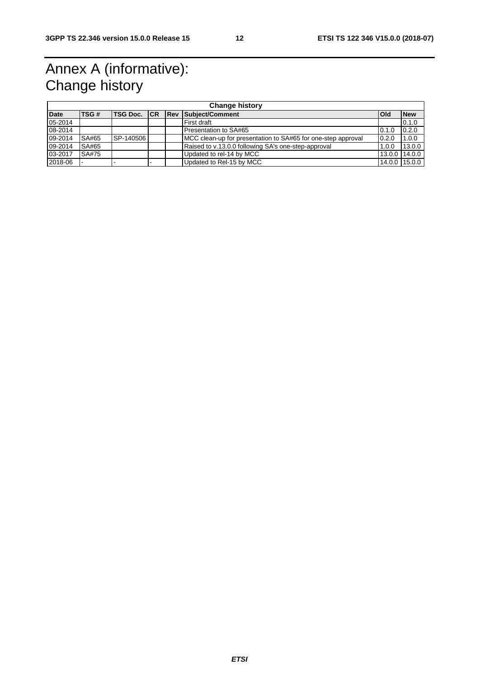## Annex A (informative): Change history

| <b>Change history</b> |       |                 |  |  |                                                              |            |               |
|-----------------------|-------|-----------------|--|--|--------------------------------------------------------------|------------|---------------|
| <b>Date</b>           | TSG#  | <b>TSG Doc.</b> |  |  | <b>CR Rev Subject/Comment</b>                                | <b>Old</b> | <b>New</b>    |
| 05-2014               |       |                 |  |  | First draft                                                  |            | 0.1.0         |
| 08-2014               |       |                 |  |  | Presentation to SA#65                                        | 0.1.0      | 0.2.0         |
| 09-2014               | SA#65 | SP-140506       |  |  | MCC clean-up for presentation to SA#65 for one-step approval | 0.2.0      | 1.0.0         |
| 09-2014               | SA#65 |                 |  |  | Raised to v.13.0.0 following SA's one-step-approval          | 1.0.0      | 13.0.0        |
| 03-2017               | SA#75 |                 |  |  | Updated to rel-14 by MCC                                     |            | 13.0.0 14.0.0 |
| 2018-06               |       |                 |  |  | Updated to Rel-15 by MCC                                     |            | 14.0.0 15.0.0 |